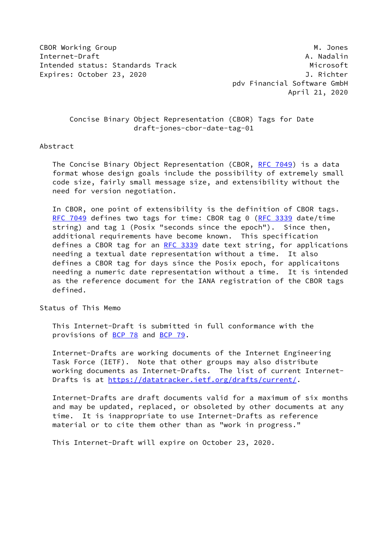CBOR Working Group **M. Jones** M. Jones M. Jones M. Jones M. Jones M. Jones M. Jones M. Jones M. Jones M. Jones Internet-Draft A. Nadalin Intended status: Standards Track Microsoft Expires: October 23, 2020 J. Richter

 pdv Financial Software GmbH April 21, 2020

# Concise Binary Object Representation (CBOR) Tags for Date draft-jones-cbor-date-tag-01

### Abstract

The Concise Binary Object Representation (CBOR, [RFC 7049](https://datatracker.ietf.org/doc/pdf/rfc7049)) is a data format whose design goals include the possibility of extremely small code size, fairly small message size, and extensibility without the need for version negotiation.

 In CBOR, one point of extensibility is the definition of CBOR tags. [RFC 7049](https://datatracker.ietf.org/doc/pdf/rfc7049) defines two tags for time: CBOR tag 0 [\(RFC 3339](https://datatracker.ietf.org/doc/pdf/rfc3339) date/time string) and tag 1 (Posix "seconds since the epoch"). Since then, additional requirements have become known. This specification defines a CBOR tag for an [RFC 3339](https://datatracker.ietf.org/doc/pdf/rfc3339) date text string, for applications needing a textual date representation without a time. It also defines a CBOR tag for days since the Posix epoch, for applicaitons needing a numeric date representation without a time. It is intended as the reference document for the IANA registration of the CBOR tags defined.

Status of This Memo

 This Internet-Draft is submitted in full conformance with the provisions of [BCP 78](https://datatracker.ietf.org/doc/pdf/bcp78) and [BCP 79](https://datatracker.ietf.org/doc/pdf/bcp79).

 Internet-Drafts are working documents of the Internet Engineering Task Force (IETF). Note that other groups may also distribute working documents as Internet-Drafts. The list of current Internet- Drafts is at<https://datatracker.ietf.org/drafts/current/>.

 Internet-Drafts are draft documents valid for a maximum of six months and may be updated, replaced, or obsoleted by other documents at any time. It is inappropriate to use Internet-Drafts as reference material or to cite them other than as "work in progress."

This Internet-Draft will expire on October 23, 2020.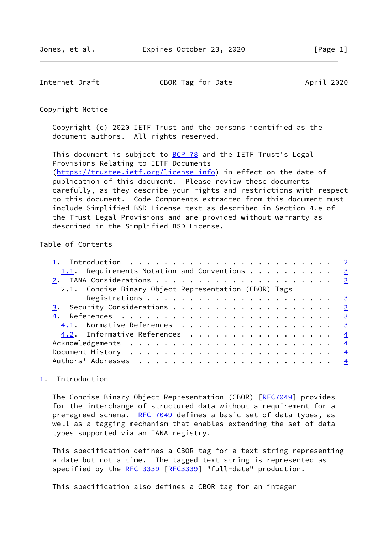<span id="page-1-1"></span>Internet-Draft CBOR Tag for Date April 2020

Copyright Notice

 Copyright (c) 2020 IETF Trust and the persons identified as the document authors. All rights reserved.

This document is subject to **[BCP 78](https://datatracker.ietf.org/doc/pdf/bcp78)** and the IETF Trust's Legal Provisions Relating to IETF Documents [\(https://trustee.ietf.org/license-info](https://trustee.ietf.org/license-info)) in effect on the date of publication of this document. Please review these documents carefully, as they describe your rights and restrictions with respect to this document. Code Components extracted from this document must include Simplified BSD License text as described in Section 4.e of the Trust Legal Provisions and are provided without warranty as described in the Simplified BSD License.

# Table of Contents

| 1.1. Requirements Notation and Conventions $\cdots$ 3 |               |
|-------------------------------------------------------|---------------|
|                                                       |               |
| 2.1. Concise Binary Object Representation (CBOR) Tags |               |
|                                                       |               |
|                                                       |               |
|                                                       |               |
| 4.1. Normative References 3                           |               |
| 4.2. Informative References 4                         |               |
|                                                       | $\frac{4}{1}$ |
|                                                       | $\frac{4}{3}$ |
|                                                       |               |
|                                                       |               |

# <span id="page-1-0"></span>[1](#page-1-0). Introduction

 The Concise Binary Object Representation (CBOR) [\[RFC7049](https://datatracker.ietf.org/doc/pdf/rfc7049)] provides for the interchange of structured data without a requirement for a pre-agreed schema. [RFC 7049](https://datatracker.ietf.org/doc/pdf/rfc7049) defines a basic set of data types, as well as a tagging mechanism that enables extending the set of data types supported via an IANA registry.

 This specification defines a CBOR tag for a text string representing a date but not a time. The tagged text string is represented as specified by the [RFC 3339](https://datatracker.ietf.org/doc/pdf/rfc3339) [[RFC3339](https://datatracker.ietf.org/doc/pdf/rfc3339)] "full-date" production.

This specification also defines a CBOR tag for an integer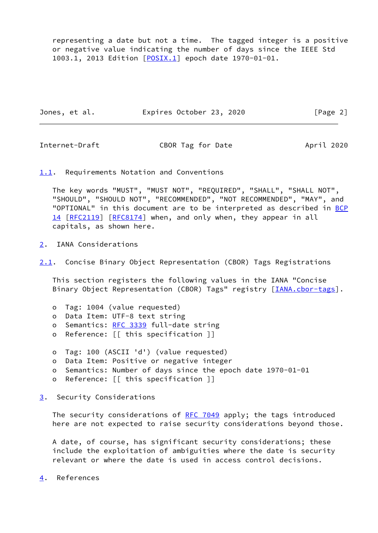representing a date but not a time. The tagged integer is a positive or negative value indicating the number of days since the IEEE Std 1003.1, 2013 Edition [\[POSIX.1](#page-3-3)] epoch date 1970-01-01.

| Jones, et al. | Expires October 23, 2020 |  | [Page 2] |
|---------------|--------------------------|--|----------|
|---------------|--------------------------|--|----------|

<span id="page-2-1"></span>Internet-Draft CBOR Tag for Date April 2020

<span id="page-2-0"></span>[1.1](#page-2-0). Requirements Notation and Conventions

 The key words "MUST", "MUST NOT", "REQUIRED", "SHALL", "SHALL NOT", "SHOULD", "SHOULD NOT", "RECOMMENDED", "NOT RECOMMENDED", "MAY", and "OPTIONAL" in this document are to be interpreted as described in [BCP](https://datatracker.ietf.org/doc/pdf/bcp14) [14](https://datatracker.ietf.org/doc/pdf/bcp14) [[RFC2119\]](https://datatracker.ietf.org/doc/pdf/rfc2119) [\[RFC8174](https://datatracker.ietf.org/doc/pdf/rfc8174)] when, and only when, they appear in all capitals, as shown here.

<span id="page-2-2"></span>[2](#page-2-2). IANA Considerations

<span id="page-2-5"></span>[2.1](#page-2-5). Concise Binary Object Representation (CBOR) Tags Registrations

 This section registers the following values in the IANA "Concise Binary Object Representation (CBOR) Tags" registry [*[IANA.cbor-tags](#page-3-4)*].

- o Tag: 1004 (value requested)
- o Data Item: UTF-8 text string
- o Semantics: [RFC 3339](https://datatracker.ietf.org/doc/pdf/rfc3339) full-date string
- o Reference: [[ this specification ]]
- o Tag: 100 (ASCII 'd') (value requested)
- o Data Item: Positive or negative integer
- o Semantics: Number of days since the epoch date 1970-01-01
- o Reference: [[ this specification ]]

<span id="page-2-3"></span>[3](#page-2-3). Security Considerations

The security considerations of [RFC 7049](https://datatracker.ietf.org/doc/pdf/rfc7049) apply; the tags introduced here are not expected to raise security considerations beyond those.

 A date, of course, has significant security considerations; these include the exploitation of ambiguities where the date is security relevant or where the date is used in access control decisions.

<span id="page-2-4"></span>[4](#page-2-4). References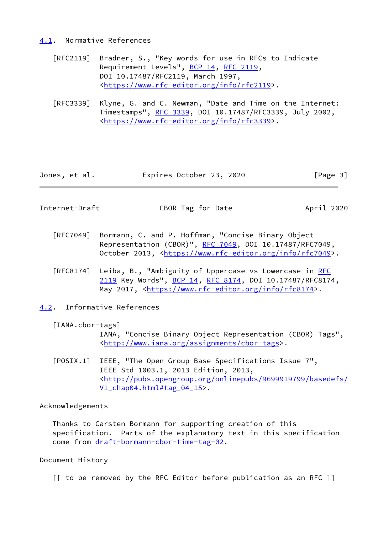#### <span id="page-3-0"></span>[4.1](#page-3-0). Normative References

- [RFC2119] Bradner, S., "Key words for use in RFCs to Indicate Requirement Levels", [BCP 14](https://datatracker.ietf.org/doc/pdf/bcp14), [RFC 2119](https://datatracker.ietf.org/doc/pdf/rfc2119), DOI 10.17487/RFC2119, March 1997, <[https://www.rfc-editor.org/info/rfc2119>](https://www.rfc-editor.org/info/rfc2119).
- [RFC3339] Klyne, G. and C. Newman, "Date and Time on the Internet: Timestamps", [RFC 3339](https://datatracker.ietf.org/doc/pdf/rfc3339), DOI 10.17487/RFC3339, July 2002, <[https://www.rfc-editor.org/info/rfc3339>](https://www.rfc-editor.org/info/rfc3339).

| Jones, et al. | Expires October 23, 2020 |  | [Page 3] |  |
|---------------|--------------------------|--|----------|--|
|               |                          |  |          |  |

<span id="page-3-2"></span>Internet-Draft CBOR Tag for Date April 2020

- [RFC7049] Bormann, C. and P. Hoffman, "Concise Binary Object Representation (CBOR)", [RFC 7049,](https://datatracker.ietf.org/doc/pdf/rfc7049) DOI 10.17487/RFC7049, October 2013, [<https://www.rfc-editor.org/info/rfc7049](https://www.rfc-editor.org/info/rfc7049)>.
- [RFC8174] Leiba, B., "Ambiguity of Uppercase vs Lowercase in [RFC](https://datatracker.ietf.org/doc/pdf/rfc2119) [2119](https://datatracker.ietf.org/doc/pdf/rfc2119) Key Words", [BCP 14](https://datatracker.ietf.org/doc/pdf/bcp14), [RFC 8174,](https://datatracker.ietf.org/doc/pdf/rfc8174) DOI 10.17487/RFC8174, May 2017, [<https://www.rfc-editor.org/info/rfc8174](https://www.rfc-editor.org/info/rfc8174)>.
- <span id="page-3-1"></span>[4.2](#page-3-1). Informative References

#### <span id="page-3-4"></span>[IANA.cbor-tags]

 IANA, "Concise Binary Object Representation (CBOR) Tags", <[http://www.iana.org/assignments/cbor-tags>](http://www.iana.org/assignments/cbor-tags).

<span id="page-3-3"></span> [POSIX.1] IEEE, "The Open Group Base Specifications Issue 7", IEEE Std 1003.1, 2013 Edition, 2013, <[http://pubs.opengroup.org/onlinepubs/9699919799/basedefs/](http://pubs.opengroup.org/onlinepubs/9699919799/basedefs/V1_chap04.html#tag_04_15) [V1\\_chap04.html#tag\\_04\\_15>](http://pubs.opengroup.org/onlinepubs/9699919799/basedefs/V1_chap04.html#tag_04_15).

### Acknowledgements

 Thanks to Carsten Bormann for supporting creation of this specification. Parts of the explanatory text in this specification come from [draft-bormann-cbor-time-tag-02](https://datatracker.ietf.org/doc/pdf/draft-bormann-cbor-time-tag-02).

#### Document History

[[ to be removed by the RFC Editor before publication as an RFC ]]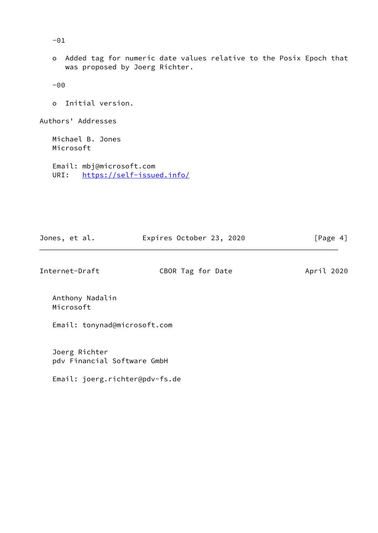-01

 o Added tag for numeric date values relative to the Posix Epoch that was proposed by Joerg Richter.

-00

o Initial version.

Authors' Addresses

 Michael B. Jones Microsoft

 Email: mbj@microsoft.com URI: <https://self-issued.info/>

| Jones, et al. | Expires October 23, 2020 | [Page 4] |
|---------------|--------------------------|----------|
|---------------|--------------------------|----------|

Internet-Draft CBOR Tag for Date April 2020

 Anthony Nadalin Microsoft

Email: tonynad@microsoft.com

 Joerg Richter pdv Financial Software GmbH

Email: joerg.richter@pdv-fs.de